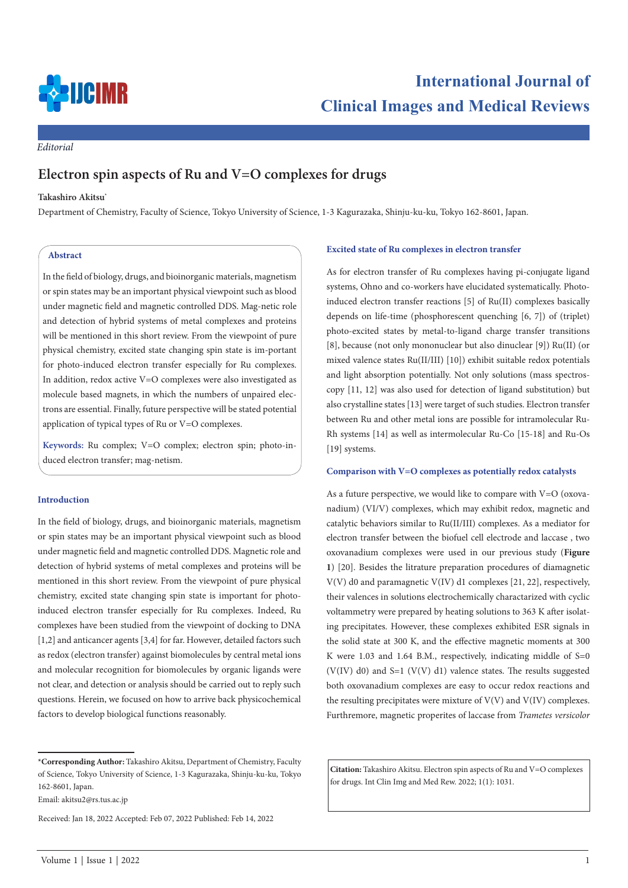

*Editorial*

# **Electron spin aspects of Ru and V=O complexes for drugs**

#### **Takashiro Akitsu\***

Department of Chemistry, Faculty of Science, Tokyo University of Science, 1-3 Kagurazaka, Shinju-ku-ku, Tokyo 162-8601, Japan.

## **Abstract**

In the field of biology, drugs, and bioinorganic materials, magnetism or spin states may be an important physical viewpoint such as blood under magnetic field and magnetic controlled DDS. Mag-netic role and detection of hybrid systems of metal complexes and proteins will be mentioned in this short review. From the viewpoint of pure physical chemistry, excited state changing spin state is im-portant for photo-induced electron transfer especially for Ru complexes. In addition, redox active V=O complexes were also investigated as molecule based magnets, in which the numbers of unpaired electrons are essential. Finally, future perspective will be stated potential application of typical types of Ru or V=O complexes.

**Keywords:** Ru complex; V=O complex; electron spin; photo-induced electron transfer; mag-netism.

#### **Introduction**

In the field of biology, drugs, and bioinorganic materials, magnetism or spin states may be an important physical viewpoint such as blood under magnetic field and magnetic controlled DDS. Magnetic role and detection of hybrid systems of metal complexes and proteins will be mentioned in this short review. From the viewpoint of pure physical chemistry, excited state changing spin state is important for photoinduced electron transfer especially for Ru complexes. Indeed, Ru complexes have been studied from the viewpoint of docking to DNA [1,2] and anticancer agents [3,4] for far. However, detailed factors such as redox (electron transfer) against biomolecules by central metal ions and molecular recognition for biomolecules by organic ligands were not clear, and detection or analysis should be carried out to reply such questions. Herein, we focused on how to arrive back physicochemical factors to develop biological functions reasonably.

Email: akitsu2@rs.tus.ac.jp

#### **Excited state of Ru complexes in electron transfer**

As for electron transfer of Ru complexes having pi-conjugate ligand systems, Ohno and co-workers have elucidated systematically. Photoinduced electron transfer reactions [5] of Ru(II) complexes basically depends on life-time (phosphorescent quenching [6, 7]) of (triplet) photo-excited states by metal-to-ligand charge transfer transitions [8], because (not only mononuclear but also dinuclear [9]) Ru(II) (or mixed valence states Ru(II/III) [10]) exhibit suitable redox potentials and light absorption potentially. Not only solutions (mass spectroscopy [11, 12] was also used for detection of ligand substitution) but also crystalline states [13] were target of such studies. Electron transfer between Ru and other metal ions are possible for intramolecular Ru-Rh systems [14] as well as intermolecular Ru-Co [15-18] and Ru-Os [19] systems.

### **Comparison with V=O complexes as potentially redox catalysts**

As a future perspective, we would like to compare with V=O (oxovanadium) (VI/V) complexes, which may exhibit redox, magnetic and catalytic behaviors similar to Ru(II/III) complexes. As a mediator for electron transfer between the biofuel cell electrode and laccase , two oxovanadium complexes were used in our previous study (**Figure 1**) [20]. Besides the litrature preparation procedures of diamagnetic V(V) d0 and paramagnetic V(IV) d1 complexes [21, 22], respectively, their valences in solutions electrochemically charactarized with cyclic voltammetry were prepared by heating solutions to 363 K after isolating precipitates. However, these complexes exhibited ESR signals in the solid state at 300 K, and the effective magnetic moments at 300 K were 1.03 and 1.64 B.M., respectively, indicating middle of S=0 (V(IV) d0) and S=1 (V(V) d1) valence states. The results suggested both oxovanadium complexes are easy to occur redox reactions and the resulting precipitates were mixture of  $V(V)$  and  $V(IV)$  complexes. Furthremore, magnetic properites of laccase from *Trametes versicolor*

**Citation:** Takashiro Akitsu. Electron spin aspects of Ru and V=O complexes for drugs. Int Clin Img and Med Rew. 2022; 1(1): 1031.

**<sup>\*</sup>Corresponding Author:** Takashiro Akitsu, Department of Chemistry, Faculty of Science, Tokyo University of Science, 1-3 Kagurazaka, Shinju-ku-ku, Tokyo 162-8601, Japan.

Received: Jan 18, 2022 Accepted: Feb 07, 2022 Published: Feb 14, 2022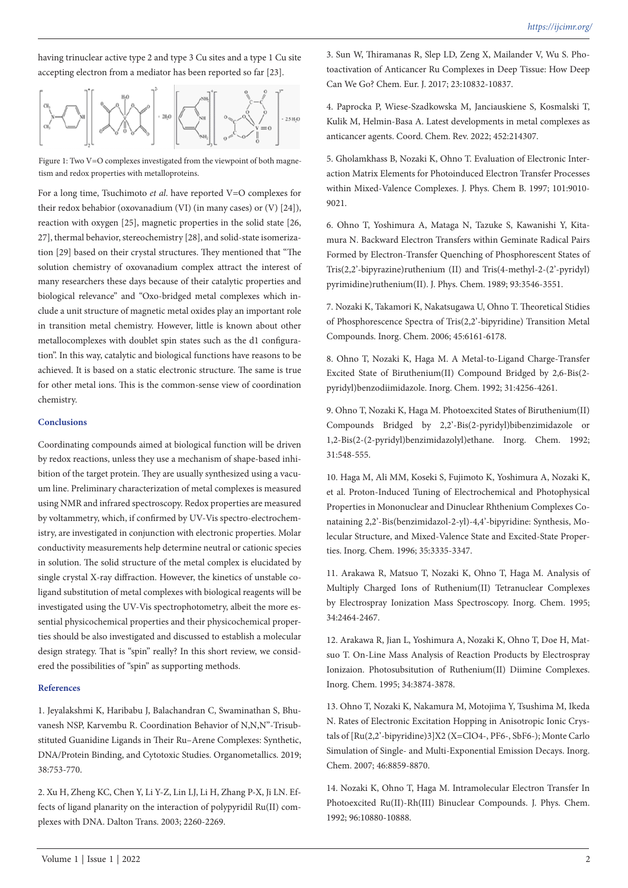having trinuclear active type 2 and type 3 Cu sites and a type 1 Cu site accepting electron from a mediator has been reported so far [23].



Figure 1: Two V=O complexes investigated from the viewpoint of both magnetism and redox properties with metalloproteins.

For a long time, Tsuchimoto *et al*. have reported V=O complexes for their redox behabior (oxovanadium (VI) (in many cases) or (V) [24]), reaction with oxygen [25], magnetic properties in the solid state [26, 27], thermal behavior, stereochemistry [28], and solid-state isomerization [29] based on their crystal structures. They mentioned that "The solution chemistry of oxovanadium complex attract the interest of many researchers these days because of their catalytic properties and biological relevance" and "Oxo-bridged metal complexes which include a unit structure of magnetic metal oxides play an important role in transition metal chemistry. However, little is known about other metallocomplexes with doublet spin states such as the d1 configuration". In this way, catalytic and biological functions have reasons to be achieved. It is based on a static electronic structure. The same is true for other metal ions. This is the common-sense view of coordination chemistry.

#### **Conclusions**

Coordinating compounds aimed at biological function will be driven by redox reactions, unless they use a mechanism of shape-based inhibition of the target protein. They are usually synthesized using a vacuum line. Preliminary characterization of metal complexes is measured using NMR and infrared spectroscopy. Redox properties are measured by voltammetry, which, if confirmed by UV-Vis spectro-electrochemistry, are investigated in conjunction with electronic properties. Molar conductivity measurements help determine neutral or cationic species in solution. The solid structure of the metal complex is elucidated by single crystal X-ray diffraction. However, the kinetics of unstable coligand substitution of metal complexes with biological reagents will be investigated using the UV-Vis spectrophotometry, albeit the more essential physicochemical properties and their physicochemical properties should be also investigated and discussed to establish a molecular design strategy. That is "spin" really? In this short review, we considered the possibilities of "spin" as supporting methods.

# **References**

1. Jeyalakshmi K, Haribabu J, Balachandran C, Swaminathan S, Bhuvanesh NSP, Karvembu R. Coordination Behavior of N,N,N"-Trisubstituted Guanidine Ligands in Their Ru–Arene Complexes: Synthetic, DNA/Protein Binding, and Cytotoxic Studies. Organometallics. 2019; 38:753-770.

2. Xu H, Zheng KC, Chen Y, Li Y-Z, Lin LJ, Li H, Zhang P-X, Ji LN. Effects of ligand planarity on the interaction of polypyridil Ru(II) complexes with DNA. Dalton Trans. 2003; 2260-2269.

3. Sun W, Thiramanas R, Slep LD, Zeng X, Mailander V, Wu S. Photoactivation of Anticancer Ru Complexes in Deep Tissue: How Deep Can We Go? Chem. Eur. J. 2017; 23:10832-10837.

4. Paprocka P, Wiese-Szadkowska M, Janciauskiene S, Kosmalski T, Kulik M, Helmin-Basa A. Latest developments in metal complexes as anticancer agents. Coord. Chem. Rev. 2022; 452:214307.

5. Gholamkhass B, Nozaki K, Ohno T. Evaluation of Electronic Interaction Matrix Elements for Photoinduced Electron Transfer Processes within Mixed-Valence Complexes. J. Phys. Chem B. 1997; 101:9010- 9021.

6. Ohno T, Yoshimura A, Mataga N, Tazuke S, Kawanishi Y, Kitamura N. Backward Electron Transfers within Geminate Radical Pairs Formed by Electron-Transfer Quenching of Phosphorescent States of Tris(2,2'-bipyrazine)ruthenium (II) and Tris(4-methyl-2-(2'-pyridyl) pyrimidine)ruthenium(II). J. Phys. Chem. 1989; 93:3546-3551.

7. Nozaki K, Takamori K, Nakatsugawa U, Ohno T. Theoretical Stidies of Phosphorescence Spectra of Tris(2,2'-bipyridine) Transition Metal Compounds. Inorg. Chem. 2006; 45:6161-6178.

8. Ohno T, Nozaki K, Haga M. A Metal-to-Ligand Charge-Transfer Excited State of Biruthenium(II) Compound Bridged by 2,6-Bis(2 pyridyl)benzodiimidazole. Inorg. Chem. 1992; 31:4256-4261.

9. Ohno T, Nozaki K, Haga M. Photoexcited States of Biruthenium(II) Compounds Bridged by 2,2'-Bis(2-pyridyl)bibenzimidazole or 1,2-Bis(2-(2-pyridyl)benzimidazolyl)ethane. Inorg. Chem. 1992; 31:548-555.

10. Haga M, Ali MM, Koseki S, Fujimoto K, Yoshimura A, Nozaki K, et al. Proton-Induced Tuning of Electrochemical and Photophysical Properties in Mononuclear and Dinuclear Rhthenium Complexes Conataining 2,2'-Bis(benzimidazol-2-yl)-4,4'-bipyridine: Synthesis, Molecular Structure, and Mixed-Valence State and Excited-State Properties. Inorg. Chem. 1996; 35:3335-3347.

11. Arakawa R, Matsuo T, Nozaki K, Ohno T, Haga M. Analysis of Multiply Charged Ions of Ruthenium(II) Tetranuclear Complexes by Electrospray Ionization Mass Spectroscopy. Inorg. Chem. 1995; 34:2464-2467.

12. Arakawa R, Jian L, Yoshimura A, Nozaki K, Ohno T, Doe H, Matsuo T. On-Line Mass Analysis of Reaction Products by Electrospray Ionizaion. Photosubsitution of Ruthenium(II) Diimine Complexes. Inorg. Chem. 1995; 34:3874-3878.

13. Ohno T, Nozaki K, Nakamura M, Motojima Y, Tsushima M, Ikeda N. Rates of Electronic Excitation Hopping in Anisotropic Ionic Crystals of [Ru(2,2'-bipyridine)3]X2 (X=ClO4-, PF6-, SbF6-); Monte Carlo Simulation of Single- and Multi-Exponential Emission Decays. Inorg. Chem. 2007; 46:8859-8870.

14. Nozaki K, Ohno T, Haga M. Intramolecular Electron Transfer In Photoexcited Ru(II)-Rh(III) Binuclear Compounds. J. Phys. Chem. 1992; 96:10880-10888.